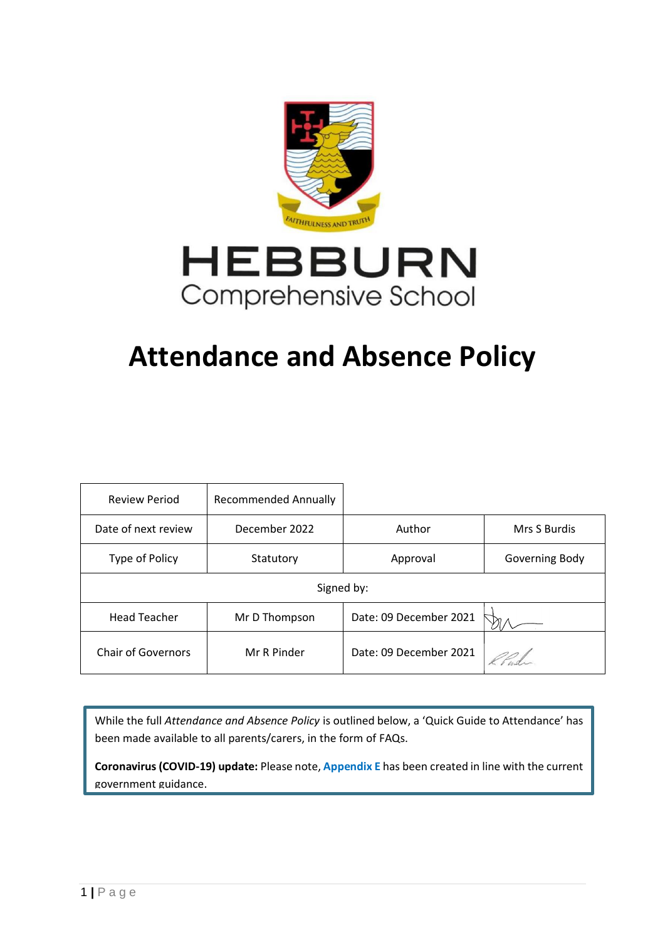

# **Attendance and Absence Policy**

| <b>Review Period</b>      | <b>Recommended Annually</b> |                        |                |  |  |
|---------------------------|-----------------------------|------------------------|----------------|--|--|
| Date of next review       | December 2022               | Author                 | Mrs S Burdis   |  |  |
| Type of Policy            | Statutory                   | Approval               | Governing Body |  |  |
| Signed by:                |                             |                        |                |  |  |
| <b>Head Teacher</b>       | Mr D Thompson               | Date: 09 December 2021 |                |  |  |
| <b>Chair of Governors</b> | Mr R Pinder                 | Date: 09 December 2021 |                |  |  |

While the full *Attendance and Absence Policy* is outlined below, a 'Quick Guide to Attendance' has been made available to all parents/carers, in the form of FAQs.

**Coronavirus (COVID-19) update:** Please note, **Appendix E** has been created in line with the current government guidance.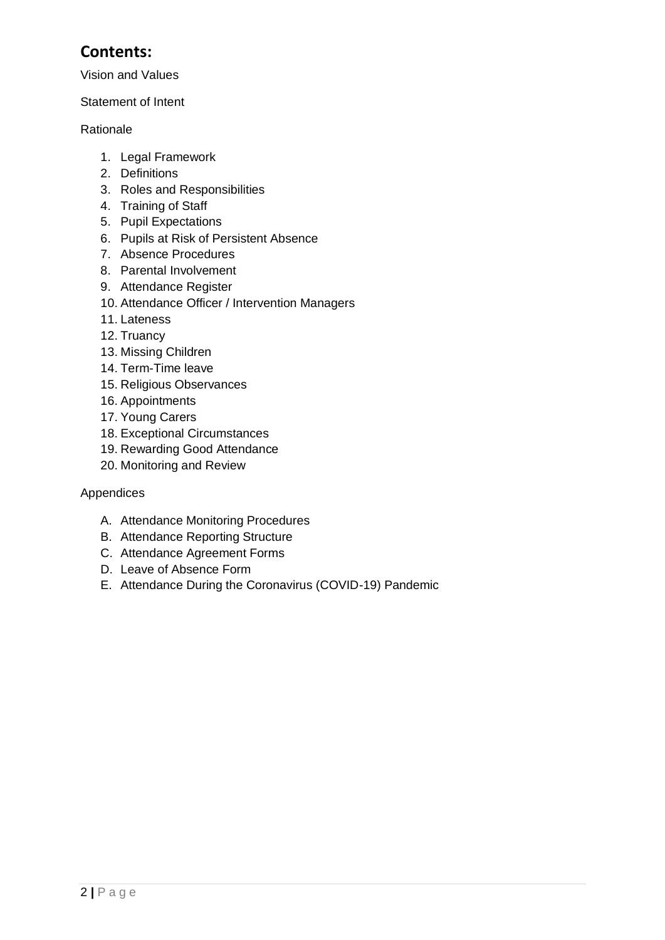# **Contents:**

Vision and Values

#### Statement of Intent

#### Rationale

- 1. Legal Framework
- 2. [Definitions](#page-3-0)
- 3. [Roles and Responsibilities](#page-5-0)
- 4. [Training of Staff](#page-8-0)
- 5. [Pupil Expectations](#page-8-1)
- 6. [Pupils at Risk of Persistent Absence](#page-9-0)
- 7. [Absence Procedures](#page-10-0)
- 8. [Parental](#page-11-0) Involvement
- 9. [Attendance Register](#page-11-1)
- 10. [Attendance O](#page-13-0)fficer / Intervention Managers
- 11. [Lateness](#page-14-0)
- 12. [Truancy](#page-14-1)
- 13. [Missing Children](#page-15-0)
- 14. [Term-Time leave](#page-16-0)
- 15. [Religious Observances](#page-16-1)
- 16. [Appointments](#page-16-2)
- 17. [Young Carers](#page-17-0)
- 18. [Exceptional Circumstances](#page-17-1)
- 19. [Rewarding Good Attendance](#page-17-2)
- 20. [Monitoring and Review](#page-18-0)

#### Appendices

- A. [Attendance Monitoring Procedures](#page-21-0)
- B. [Attendance Reporting Structure](#page-24-0)
- C. [Attendance Agreement Forms](#page-25-0)
- D. Leave of Absence Form
- E. [Attendance During the Coronavirus \(COVID-19\) Pandemic](#page-27-0)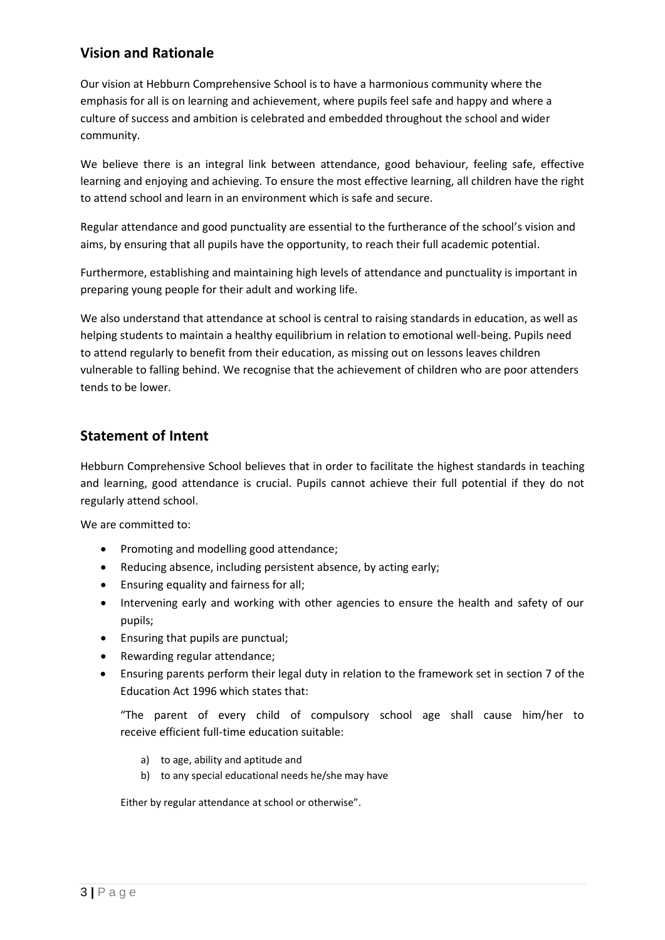## **Vision and Rationale**

Our vision at Hebburn Comprehensive School is to have a harmonious community where the emphasis for all is on learning and achievement, where pupils feel safe and happy and where a culture of success and ambition is celebrated and embedded throughout the school and wider community.

We believe there is an integral link between attendance, good behaviour, feeling safe, effective learning and enjoying and achieving. To ensure the most effective learning, all children have the right to attend school and learn in an environment which is safe and secure.

Regular attendance and good punctuality are essential to the furtherance of the school's vision and aims, by ensuring that all pupils have the opportunity, to reach their full academic potential.

Furthermore, establishing and maintaining high levels of attendance and punctuality is important in preparing young people for their adult and working life.

We also understand that attendance at school is central to raising standards in education, as well as helping students to maintain a healthy equilibrium in relation to emotional well-being. Pupils need to attend regularly to benefit from their education, as missing out on lessons leaves children vulnerable to falling behind. We recognise that the achievement of children who are poor attenders tends to be lower.

## **Statement of Intent**

Hebburn Comprehensive School believes that in order to facilitate the highest standards in teaching and learning, good attendance is crucial. Pupils cannot achieve their full potential if they do not regularly attend school.

We are committed to:

- Promoting and modelling good attendance;
- Reducing absence, including persistent absence, by acting early;
- Ensuring equality and fairness for all;
- Intervening early and working with other agencies to ensure the health and safety of our pupils;
- Ensuring that pupils are punctual;
- Rewarding regular attendance;
- Ensuring parents perform their legal duty in relation to the framework set in section 7 of the Education Act 1996 which states that:

"The parent of every child of compulsory school age shall cause him/her to receive efficient full-time education suitable:

- a) to age, ability and aptitude and
- b) to any special educational needs he/she may have

Either by regular attendance at school or otherwise".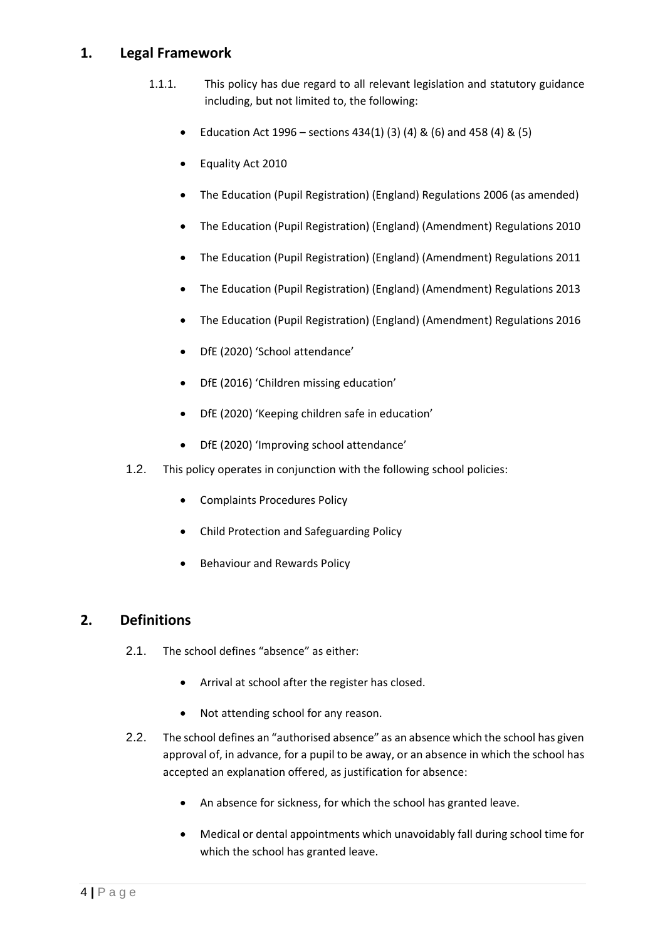## **1. Legal Framework**

- 1.1.1. This policy has due regard to all relevant legislation and statutory guidance including, but not limited to, the following:
	- Education Act 1996 sections 434(1) (3) (4) & (6) and 458 (4) & (5)
	- Equality Act 2010
	- The Education (Pupil Registration) (England) Regulations 2006 (as amended)
	- The Education (Pupil Registration) (England) (Amendment) Regulations 2010
	- The Education (Pupil Registration) (England) (Amendment) Regulations 2011
	- The Education (Pupil Registration) (England) (Amendment) Regulations 2013
	- The Education (Pupil Registration) (England) (Amendment) Regulations 2016
	- DfE (2020) 'School attendance'
	- DfE (2016) 'Children missing education'
	- DfE (2020) 'Keeping children safe in education'
	- DfE (2020) 'Improving school attendance'
- 1.2. This policy operates in conjunction with the following school policies:
	- Complaints Procedures Policy
	- Child Protection and Safeguarding Policy
	- Behaviour and Rewards Policy

#### <span id="page-3-0"></span>**2. Definitions**

- 2.1. The school defines "absence" as either:
	- Arrival at school after the register has closed.
	- Not attending school for any reason.
- 2.2. The school defines an "authorised absence" as an absence which the school has given approval of, in advance, for a pupil to be away, or an absence in which the school has accepted an explanation offered, as justification for absence:
	- An absence for sickness, for which the school has granted leave.
	- Medical or dental appointments which unavoidably fall during school time for which the school has granted leave.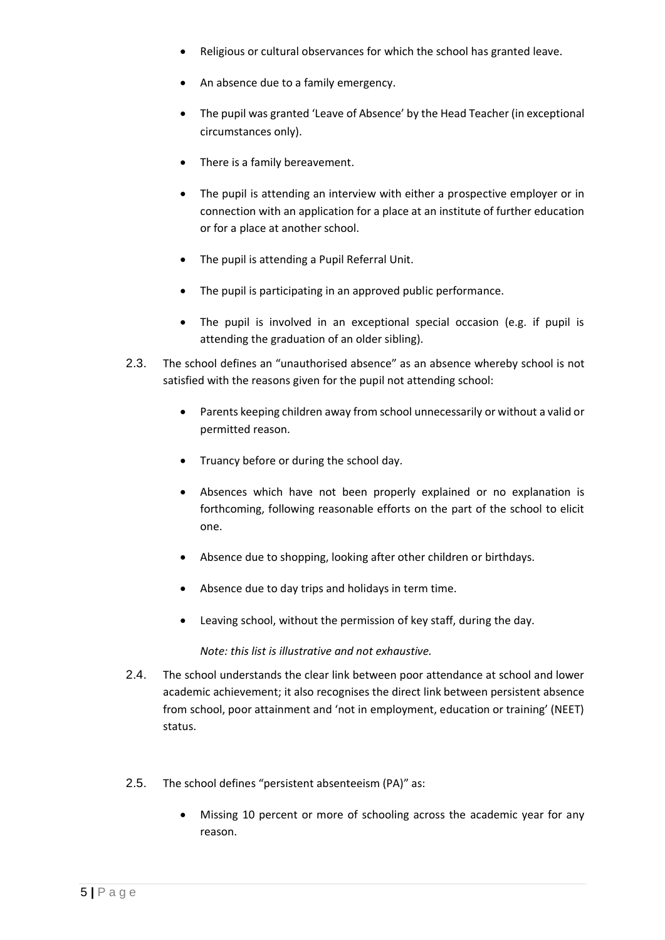- Religious or cultural observances for which the school has granted leave.
- An absence due to a family emergency.
- The pupil was granted 'Leave of Absence' by the Head Teacher (in exceptional circumstances only).
- There is a family bereavement.
- The pupil is attending an interview with either a prospective employer or in connection with an application for a place at an institute of further education or for a place at another school.
- The pupil is attending a Pupil Referral Unit.
- The pupil is participating in an approved public performance.
- The pupil is involved in an exceptional special occasion (e.g. if pupil is attending the graduation of an older sibling).
- 2.3. The school defines an "unauthorised absence" as an absence whereby school is not satisfied with the reasons given for the pupil not attending school:
	- Parents keeping children away from school unnecessarily or without a valid or permitted reason.
	- Truancy before or during the school day.
	- Absences which have not been properly explained or no explanation is forthcoming, following reasonable efforts on the part of the school to elicit one.
	- Absence due to shopping, looking after other children or birthdays.
	- Absence due to day trips and holidays in term time.
	- Leaving school, without the permission of key staff, during the day.

*Note: this list is illustrative and not exhaustive.*

- 2.4. The school understands the clear link between poor attendance at school and lower academic achievement; it also recognises the direct link between persistent absence from school, poor attainment and 'not in employment, education or training' (NEET) status.
- 2.5. The school defines "persistent absenteeism (PA)" as:
	- Missing 10 percent or more of schooling across the academic year for any reason.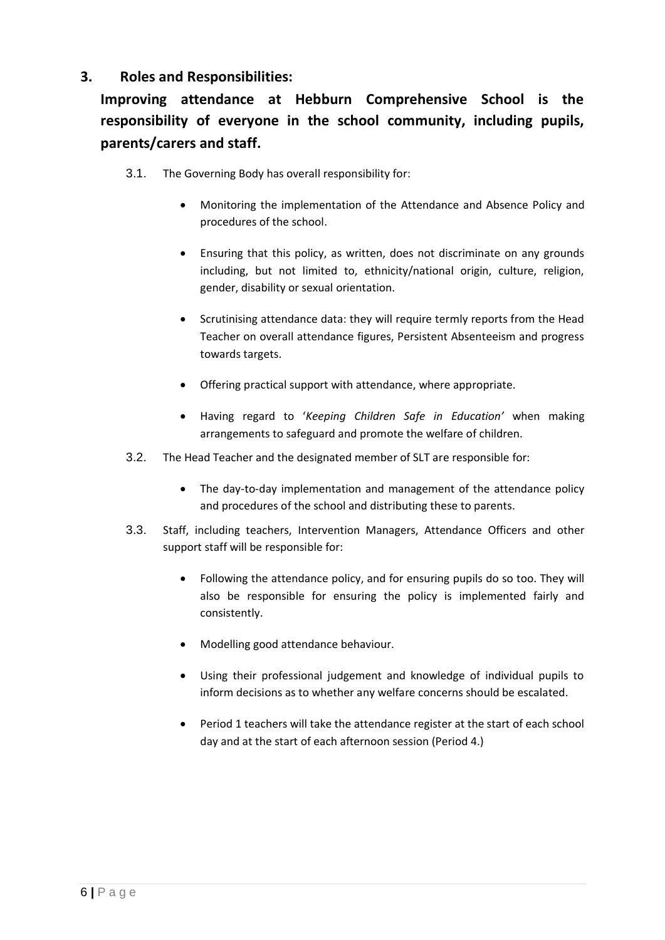## <span id="page-5-0"></span>**3. Roles and Responsibilities:**

# **Improving attendance at Hebburn Comprehensive School is the responsibility of everyone in the school community, including pupils, parents/carers and staff.**

- 3.1. The Governing Body has overall responsibility for:
	- Monitoring the implementation of the Attendance and Absence Policy and procedures of the school.
	- Ensuring that this policy, as written, does not discriminate on any grounds including, but not limited to, ethnicity/national origin, culture, religion, gender, disability or sexual orientation.
	- Scrutinising attendance data: they will require termly reports from the Head Teacher on overall attendance figures, Persistent Absenteeism and progress towards targets.
	- Offering practical support with attendance, where appropriate.
	- Having regard to '*Keeping Children Safe in Education'* when making arrangements to safeguard and promote the welfare of children.
- 3.2. The Head Teacher and the designated member of SLT are responsible for:
	- The day-to-day implementation and management of the attendance policy and procedures of the school and distributing these to parents.
- 3.3. Staff, including teachers, Intervention Managers, Attendance Officers and other support staff will be responsible for:
	- Following the attendance policy, and for ensuring pupils do so too. They will also be responsible for ensuring the policy is implemented fairly and consistently.
	- Modelling good attendance behaviour.
	- Using their professional judgement and knowledge of individual pupils to inform decisions as to whether any welfare concerns should be escalated.
	- Period 1 teachers will take the attendance register at the start of each school day and at the start of each afternoon session (Period 4.)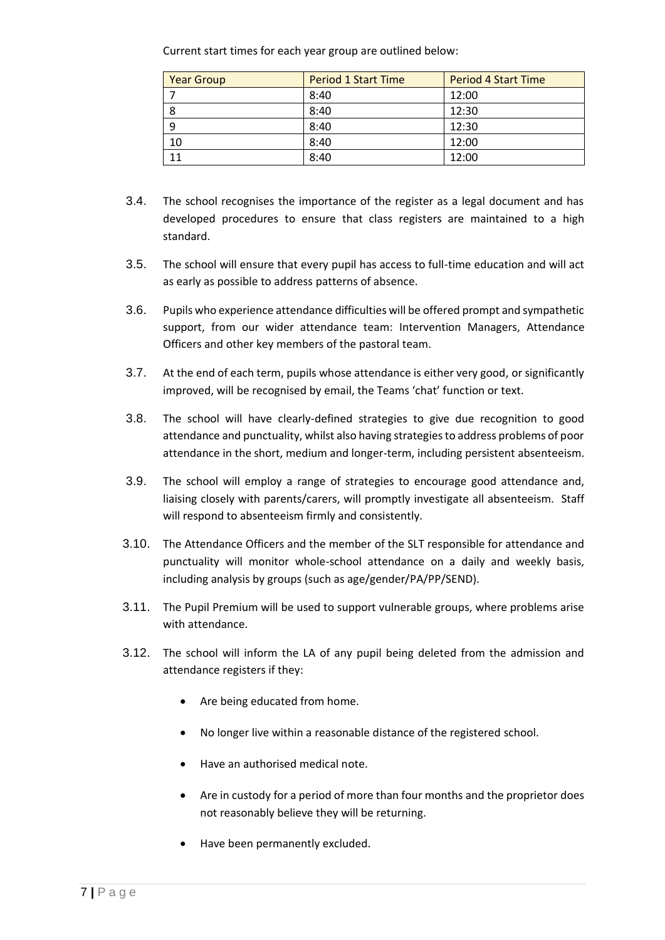Current start times for each year group are outlined below:

| <b>Year Group</b> | <b>Period 1 Start Time</b> | <b>Period 4 Start Time</b> |
|-------------------|----------------------------|----------------------------|
|                   | 8:40                       | 12:00                      |
| 8                 | 8:40                       | 12:30                      |
| 9                 | 8:40                       | 12:30                      |
| 10                | 8:40                       | 12:00                      |
| 11                | 8:40                       | 12:00                      |

- 3.4. The school recognises the importance of the register as a legal document and has developed procedures to ensure that class registers are maintained to a high standard.
- 3.5. The school will ensure that every pupil has access to full-time education and will act as early as possible to address patterns of absence.
- 3.6. Pupils who experience attendance difficulties will be offered prompt and sympathetic support, from our wider attendance team: Intervention Managers, Attendance Officers and other key members of the pastoral team.
- 3.7. At the end of each term, pupils whose attendance is either very good, or significantly improved, will be recognised by email, the Teams 'chat' function or text.
- 3.8. The school will have clearly-defined strategies to give due recognition to good attendance and punctuality, whilst also having strategies to address problems of poor attendance in the short, medium and longer-term, including persistent absenteeism.
- 3.9. The school will employ a range of strategies to encourage good attendance and, liaising closely with parents/carers, will promptly investigate all absenteeism. Staff will respond to absenteeism firmly and consistently.
- 3.10. The Attendance Officers and the member of the SLT responsible for attendance and punctuality will monitor whole-school attendance on a daily and weekly basis, including analysis by groups (such as age/gender/PA/PP/SEND).
- 3.11. The Pupil Premium will be used to support vulnerable groups, where problems arise with attendance.
- 3.12. The school will inform the LA of any pupil being deleted from the admission and attendance registers if they:
	- Are being educated from home.
	- No longer live within a reasonable distance of the registered school.
	- Have an authorised medical note.
	- Are in custody for a period of more than four months and the proprietor does not reasonably believe they will be returning.
	- Have been permanently excluded.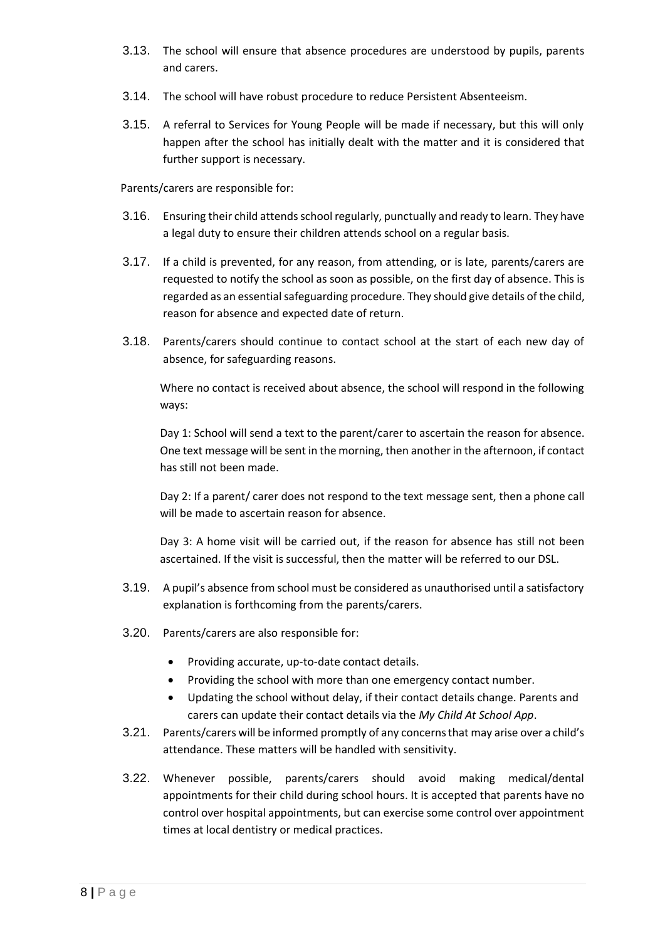- 3.13. The school will ensure that absence procedures are understood by pupils, parents and carers.
- 3.14. The school will have robust procedure to reduce Persistent Absenteeism.
- 3.15. A referral to Services for Young People will be made if necessary, but this will only happen after the school has initially dealt with the matter and it is considered that further support is necessary.

Parents/carers are responsible for:

- 3.16. Ensuring their child attends school regularly, punctually and ready to learn. They have a legal duty to ensure their children attends school on a regular basis.
- 3.17. If a child is prevented, for any reason, from attending, or is late, parents/carers are requested to notify the school as soon as possible, on the first day of absence. This is regarded as an essential safeguarding procedure. They should give details of the child, reason for absence and expected date of return.
- 3.18. Parents/carers should continue to contact school at the start of each new day of absence, for safeguarding reasons.

Where no contact is received about absence, the school will respond in the following ways:

Day 1: School will send a text to the parent/carer to ascertain the reason for absence. One text message will be sent in the morning, then another in the afternoon, if contact has still not been made.

Day 2: If a parent/ carer does not respond to the text message sent, then a phone call will be made to ascertain reason for absence.

Day 3: A home visit will be carried out, if the reason for absence has still not been ascertained. If the visit is successful, then the matter will be referred to our DSL.

- 3.19. A pupil's absence from school must be considered as unauthorised until a satisfactory explanation is forthcoming from the parents/carers.
- 3.20. Parents/carers are also responsible for:
	- Providing accurate, up-to-date contact details.
	- Providing the school with more than one emergency contact number.
	- Updating the school without delay, if their contact details change. Parents and carers can update their contact details via the *My Child At School App*.
- 3.21. Parents/carers will be informed promptly of any concerns that may arise over a child's attendance. These matters will be handled with sensitivity.
- 3.22. Whenever possible, parents/carers should avoid making medical/dental appointments for their child during school hours. It is accepted that parents have no control over hospital appointments, but can exercise some control over appointment times at local dentistry or medical practices.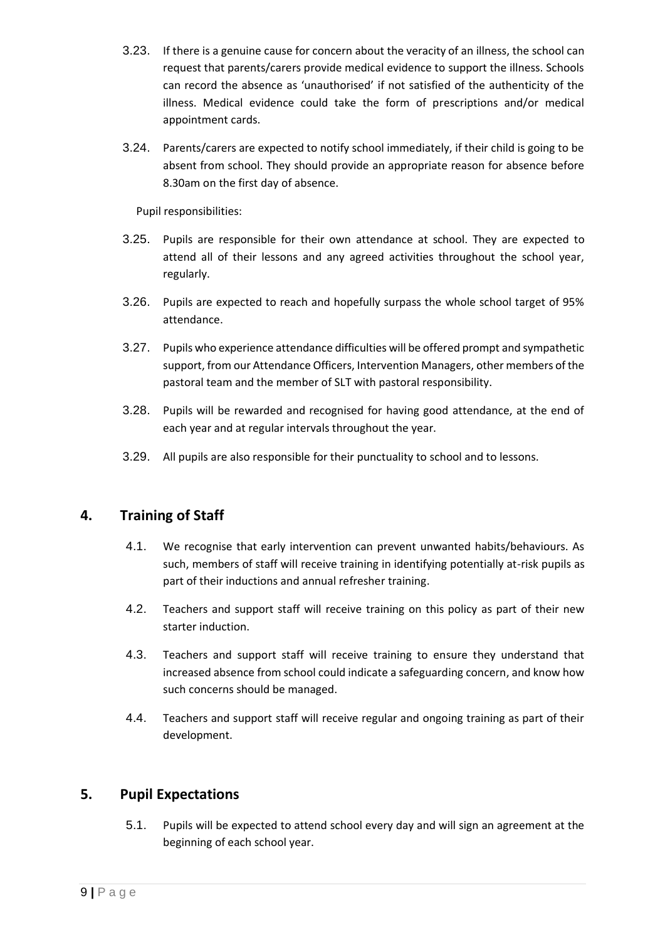- 3.23. If there is a genuine cause for concern about the veracity of an illness, the school can request that parents/carers provide medical evidence to support the illness. Schools can record the absence as 'unauthorised' if not satisfied of the authenticity of the illness. Medical evidence could take the form of prescriptions and/or medical appointment cards.
- 3.24. Parents/carers are expected to notify school immediately, if their child is going to be absent from school. They should provide an appropriate reason for absence before 8.30am on the first day of absence.

Pupil responsibilities:

- 3.25. Pupils are responsible for their own attendance at school. They are expected to attend all of their lessons and any agreed activities throughout the school year, regularly.
- 3.26. Pupils are expected to reach and hopefully surpass the whole school target of 95% attendance.
- 3.27. Pupils who experience attendance difficulties will be offered prompt and sympathetic support, from our Attendance Officers, Intervention Managers, other members of the pastoral team and the member of SLT with pastoral responsibility.
- 3.28. Pupils will be rewarded and recognised for having good attendance, at the end of each year and at regular intervals throughout the year.
- 3.29. All pupils are also responsible for their punctuality to school and to lessons.

## <span id="page-8-0"></span>**4. Training of Staff**

- 4.1. We recognise that early intervention can prevent unwanted habits/behaviours. As such, members of staff will receive training in identifying potentially at-risk pupils as part of their inductions and annual refresher training.
- 4.2. Teachers and support staff will receive training on this policy as part of their new starter induction.
- 4.3. Teachers and support staff will receive training to ensure they understand that increased absence from school could indicate a safeguarding concern, and know how such concerns should be managed.
- 4.4. Teachers and support staff will receive regular and ongoing training as part of their development.

## <span id="page-8-1"></span>**5. Pupil Expectations**

5.1. Pupils will be expected to attend school every day and will sign an agreement at the beginning of each school year.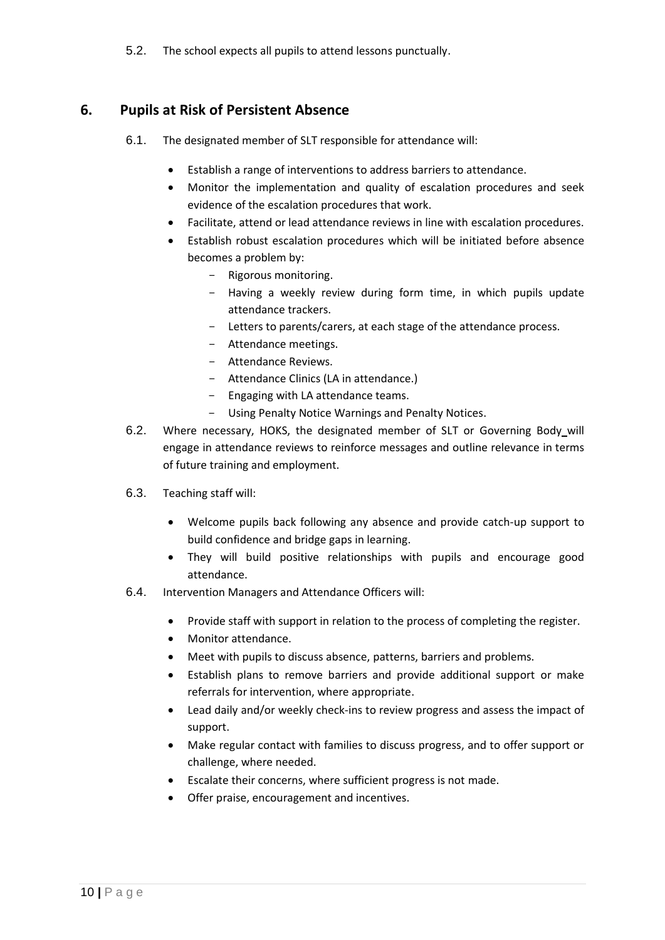5.2. The school expects all pupils to attend lessons punctually.

## <span id="page-9-0"></span>**6. Pupils at Risk of Persistent Absence**

- 6.1. The designated member of SLT responsible for attendance will:
	- Establish a range of interventions to address barriers to attendance.
	- Monitor the implementation and quality of escalation procedures and seek evidence of the escalation procedures that work.
	- Facilitate, attend or lead attendance reviews in line with escalation procedures.
	- Establish robust escalation procedures which will be initiated before absence becomes a problem by:
		- Rigorous monitoring.
		- Having a weekly review during form time, in which pupils update attendance trackers.
		- Letters to parents/carers, at each stage of the attendance process.
		- Attendance meetings.
		- Attendance Reviews.
		- Attendance Clinics (LA in attendance.)
		- Engaging with LA attendance teams.
		- Using Penalty Notice Warnings and Penalty Notices.
- 6.2. Where necessary, HOKS, the designated member of SLT or Governing Body will engage in attendance reviews to reinforce messages and outline relevance in terms of future training and employment.
- 6.3. Teaching staff will:
	- Welcome pupils back following any absence and provide catch-up support to build confidence and bridge gaps in learning.
	- They will build positive relationships with pupils and encourage good attendance.
- 6.4. Intervention Managers and Attendance Officers will:
	- Provide staff with support in relation to the process of completing the register.
	- Monitor attendance.
	- Meet with pupils to discuss absence, patterns, barriers and problems.
	- Establish plans to remove barriers and provide additional support or make referrals for intervention, where appropriate.
	- Lead daily and/or weekly check-ins to review progress and assess the impact of support.
	- Make regular contact with families to discuss progress, and to offer support or challenge, where needed.
	- Escalate their concerns, where sufficient progress is not made.
	- Offer praise, encouragement and incentives.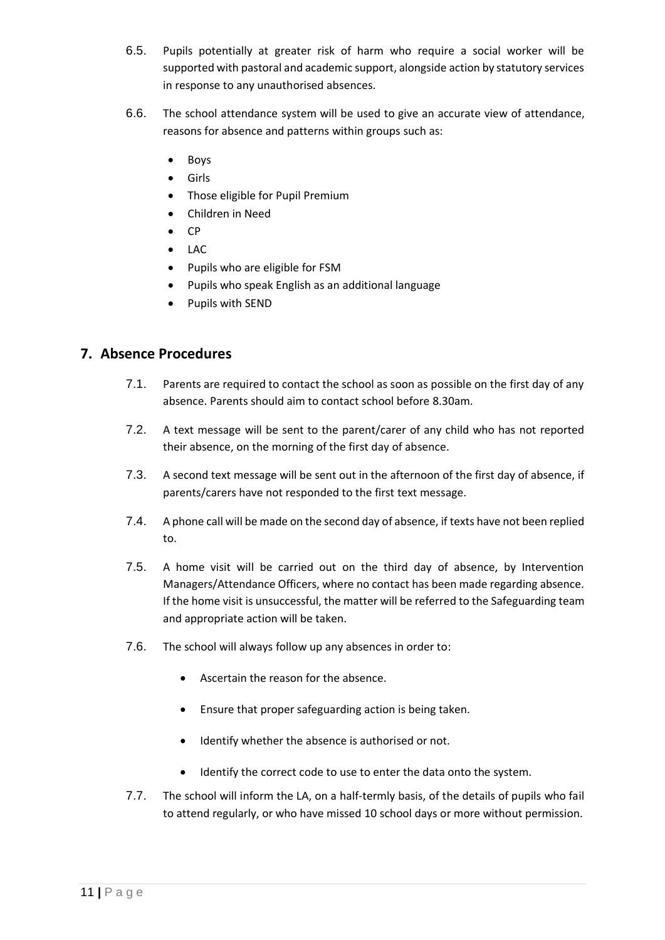- 6.5. Pupils potentially at greater risk of harm who require a social worker will be supported with pastoral and academic support, alongside action by statutory services in response to any unauthorised absences.
- 6.6. The school attendance system will be used to give an accurate view of attendance, reasons for absence and patterns within groups such as:
	- Boys
	- Girls
	- Those eligible for Pupil Premium
	- Children in Need
	- CP
	- LAC
	- Pupils who are eligible for FSM
	- Pupils who speak English as an additional language
	- Pupils with SEND

## <span id="page-10-0"></span>**7. Absence Procedures**

- 7.1. Parents are required to contact the school as soon as possible on the first day of any absence. Parents should aim to contact school before 8.30am.
- 7.2. A text message will be sent to the parent/carer of any child who has not reported their absence, on the morning of the first day of absence.
- 7.3. A second text message will be sent out in the afternoon of the first day of absence, if parents/carers have not responded to the first text message.
- 7.4. A phone call will be made on the second day of absence, if texts have not been replied to.
- 7.5. A home visit will be carried out on the third day of absence, by Intervention Managers/Attendance Officers, where no contact has been made regarding absence. If the home visit is unsuccessful, the matter will be referred to the Safeguarding team and appropriate action will be taken.
- 7.6. The school will always follow up any absences in order to:
	- Ascertain the reason for the absence.
	- Ensure that proper safeguarding action is being taken.
	- Identify whether the absence is authorised or not.
	- Identify the correct code to use to enter the data onto the system.
- 7.7. The school will inform the LA, on a half-termly basis, of the details of pupils who fail to attend regularly, or who have missed 10 school days or more without permission.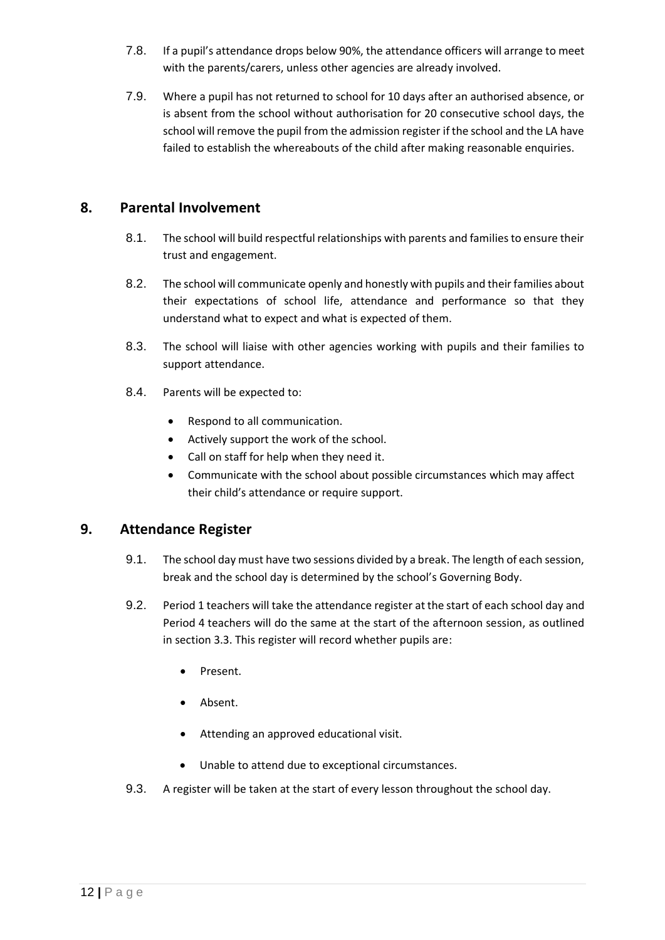- 7.8. If a pupil's attendance drops below 90%, the attendance officers will arrange to meet with the parents/carers, unless other agencies are already involved.
- 7.9. Where a pupil has not returned to school for 10 days after an authorised absence, or is absent from the school without authorisation for 20 consecutive school days, the school will remove the pupil from the admission register if the school and the LA have failed to establish the whereabouts of the child after making reasonable enquiries.

## <span id="page-11-0"></span>**8. Parental Involvement**

- 8.1. The school will build respectful relationships with parents and families to ensure their trust and engagement.
- 8.2. The school will communicate openly and honestly with pupils and their families about their expectations of school life, attendance and performance so that they understand what to expect and what is expected of them.
- 8.3. The school will liaise with other agencies working with pupils and their families to support attendance.
- 8.4. Parents will be expected to:
	- Respond to all communication.
	- Actively support the work of the school.
	- Call on staff for help when they need it.
	- Communicate with the school about possible circumstances which may affect their child's attendance or require support.

## <span id="page-11-1"></span>**9. Attendance Register**

- 9.1. The school day must have two sessions divided by a break. The length of each session, break and the school day is determined by the school's Governing Body.
- 9.2. Period 1 teachers will take the attendance register at the start of each school day and Period 4 teachers will do the same at the start of the afternoon session, as outlined in section 3.3. This register will record whether pupils are:
	- Present.
	- Absent.
	- Attending an approved educational visit.
	- Unable to attend due to exceptional circumstances.
- 9.3. A register will be taken at the start of every lesson throughout the school day.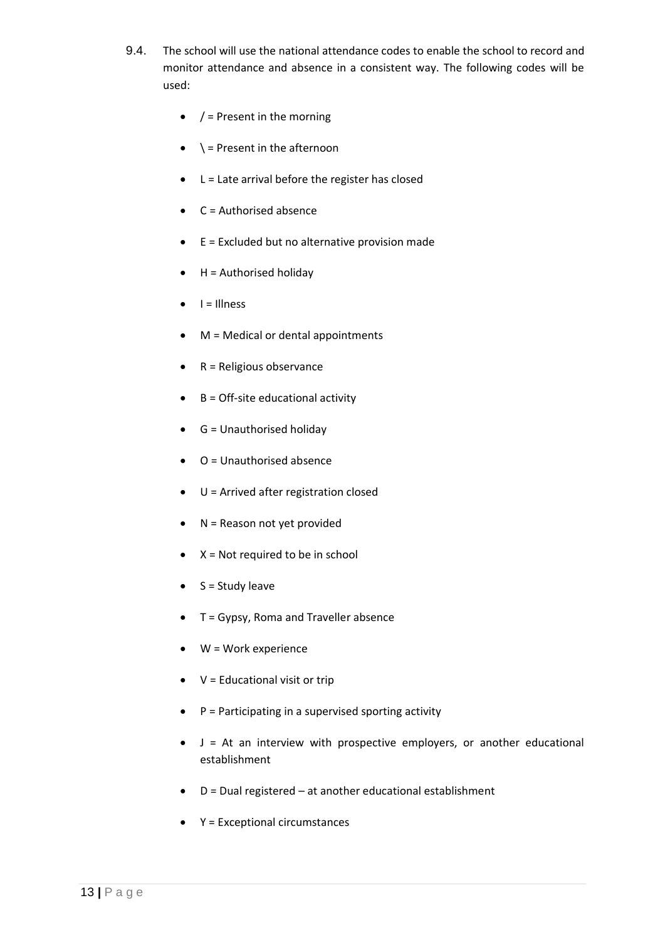- 9.4. The school will use the national attendance codes to enable the school to record and monitor attendance and absence in a consistent way. The following codes will be used:
	- $\bullet$  / = Present in the morning
	- $\bullet \quad \searrow$  = Present in the afternoon
	- L = Late arrival before the register has closed
	- $\bullet$   $C =$  Authorised absence
	- $\bullet$  E = Excluded but no alternative provision made
	- $\bullet$  H = Authorised holiday
	- $\bullet$   $I = I$ llness
	- M = Medical or dental appointments
	- $\bullet$  R = Religious observance
	- $\bullet$  B = Off-site educational activity
	- $\bullet$  G = Unauthorised holiday
	- $\bullet$   $O =$  Unauthorised absence
	- U = Arrived after registration closed
	- N = Reason not yet provided
	- $\bullet$   $X = Not required to be in school$
	- $\bullet$  S = Study leave
	- T = Gypsy, Roma and Traveller absence
	- W = Work experience
	- $\bullet$   $V =$  Educational visit or trip
	- $\bullet$  P = Participating in a supervised sporting activity
	- J = At an interview with prospective employers, or another educational establishment
	- D = Dual registered at another educational establishment
	- Y = Exceptional circumstances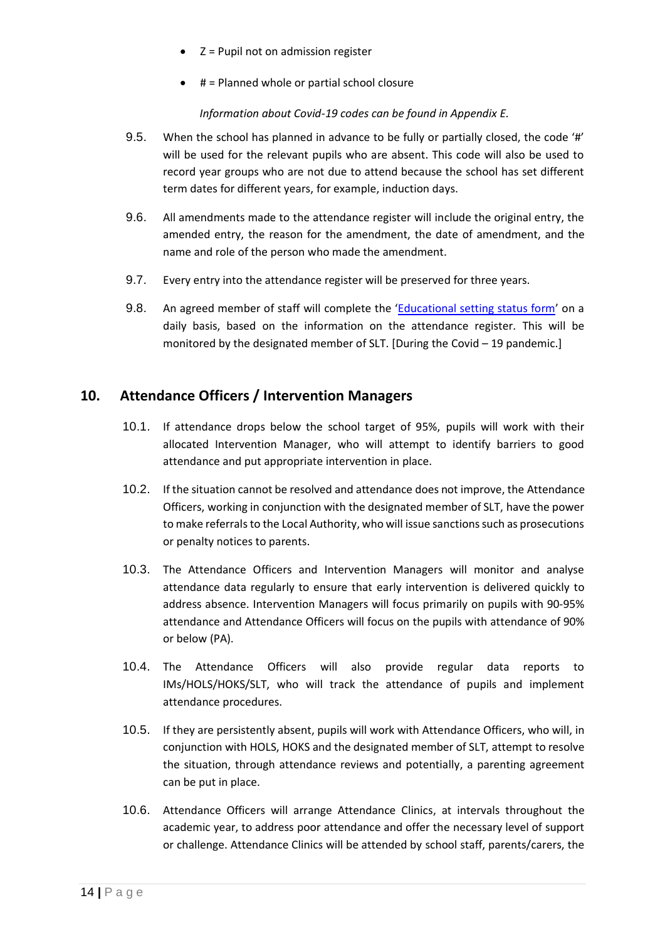- Z = Pupil not on admission register
- $\bullet$  # = Planned whole or partial school closure

#### *Information about Covid-19 codes can be found in Appendix E.*

- 9.5. When the school has planned in advance to be fully or partially closed, the code '#' will be used for the relevant pupils who are absent. This code will also be used to record year groups who are not due to attend because the school has set different term dates for different years, for example, induction days.
- 9.6. All amendments made to the attendance register will include the original entry, the amended entry, the reason for the amendment, the date of amendment, and the name and role of the person who made the amendment.
- 9.7. Every entry into the attendance register will be preserved for three years.
- 9.8. An agreed member of staff will complete the '[Educational setting status form](https://www.gov.uk/government/publications/coronavirus-covid-19-attendance-recording-for-educational-settings)' on a daily basis, based on the information on the attendance register. This will be monitored by the designated member of SLT. [During the Covid – 19 pandemic.]

## <span id="page-13-0"></span>**10. Attendance Officers / Intervention Managers**

- 10.1. If attendance drops below the school target of 95%, pupils will work with their allocated Intervention Manager, who will attempt to identify barriers to good attendance and put appropriate intervention in place.
- 10.2. If the situation cannot be resolved and attendance does not improve, the Attendance Officers, working in conjunction with the designated member of SLT, have the power to make referrals to the Local Authority, who will issue sanctions such as prosecutions or penalty notices to parents.
- 10.3. The Attendance Officers and Intervention Managers will monitor and analyse attendance data regularly to ensure that early intervention is delivered quickly to address absence. Intervention Managers will focus primarily on pupils with 90-95% attendance and Attendance Officers will focus on the pupils with attendance of 90% or below (PA).
- 10.4. The Attendance Officers will also provide regular data reports to IMs/HOLS/HOKS/SLT, who will track the attendance of pupils and implement attendance procedures.
- 10.5. If they are persistently absent, pupils will work with Attendance Officers, who will, in conjunction with HOLS, HOKS and the designated member of SLT, attempt to resolve the situation, through attendance reviews and potentially, a parenting agreement can be put in place.
- 10.6. Attendance Officers will arrange Attendance Clinics, at intervals throughout the academic year, to address poor attendance and offer the necessary level of support or challenge. Attendance Clinics will be attended by school staff, parents/carers, the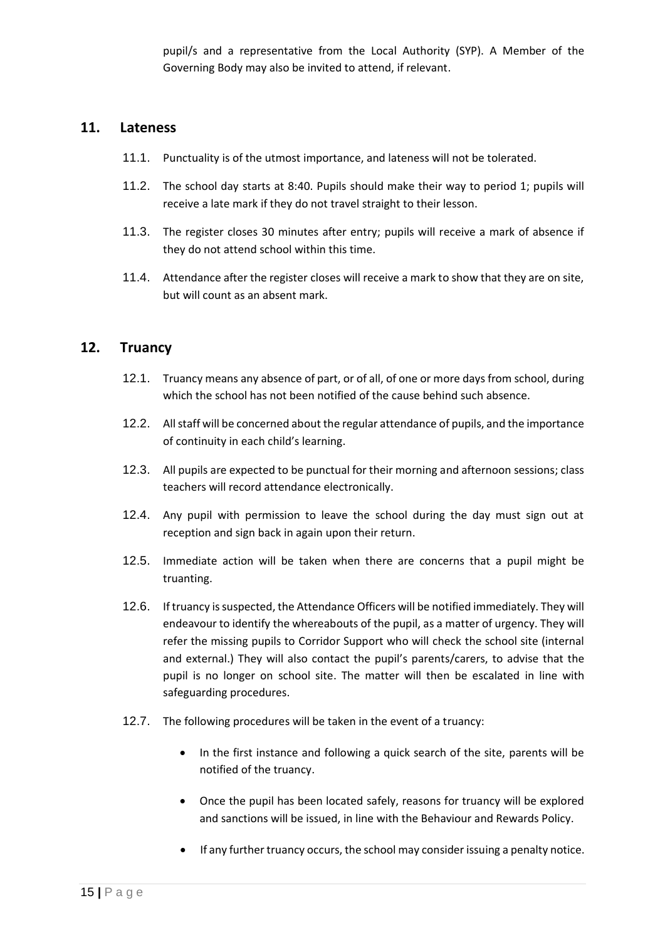pupil/s and a representative from the Local Authority (SYP). A Member of the Governing Body may also be invited to attend, if relevant.

#### <span id="page-14-0"></span>**11. Lateness**

- 11.1. Punctuality is of the utmost importance, and lateness will not be tolerated.
- 11.2. The school day starts at 8:40. Pupils should make their way to period 1; pupils will receive a late mark if they do not travel straight to their lesson.
- 11.3. The register closes 30 minutes after entry; pupils will receive a mark of absence if they do not attend school within this time.
- 11.4. Attendance after the register closes will receive a mark to show that they are on site, but will count as an absent mark.

#### <span id="page-14-1"></span>**12. Truancy**

- 12.1. Truancy means any absence of part, or of all, of one or more days from school, during which the school has not been notified of the cause behind such absence.
- 12.2. All staff will be concerned about the regular attendance of pupils, and the importance of continuity in each child's learning.
- 12.3. All pupils are expected to be punctual for their morning and afternoon sessions; class teachers will record attendance electronically.
- 12.4. Any pupil with permission to leave the school during the day must sign out at reception and sign back in again upon their return.
- 12.5. Immediate action will be taken when there are concerns that a pupil might be truanting.
- 12.6. If truancy is suspected, the Attendance Officers will be notified immediately. They will endeavour to identify the whereabouts of the pupil, as a matter of urgency. They will refer the missing pupils to Corridor Support who will check the school site (internal and external.) They will also contact the pupil's parents/carers, to advise that the pupil is no longer on school site. The matter will then be escalated in line with safeguarding procedures.
- 12.7. The following procedures will be taken in the event of a truancy:
	- In the first instance and following a quick search of the site, parents will be notified of the truancy.
	- Once the pupil has been located safely, reasons for truancy will be explored and sanctions will be issued, in line with the Behaviour and Rewards Policy.
	- If any further truancy occurs, the school may consider issuing a penalty notice.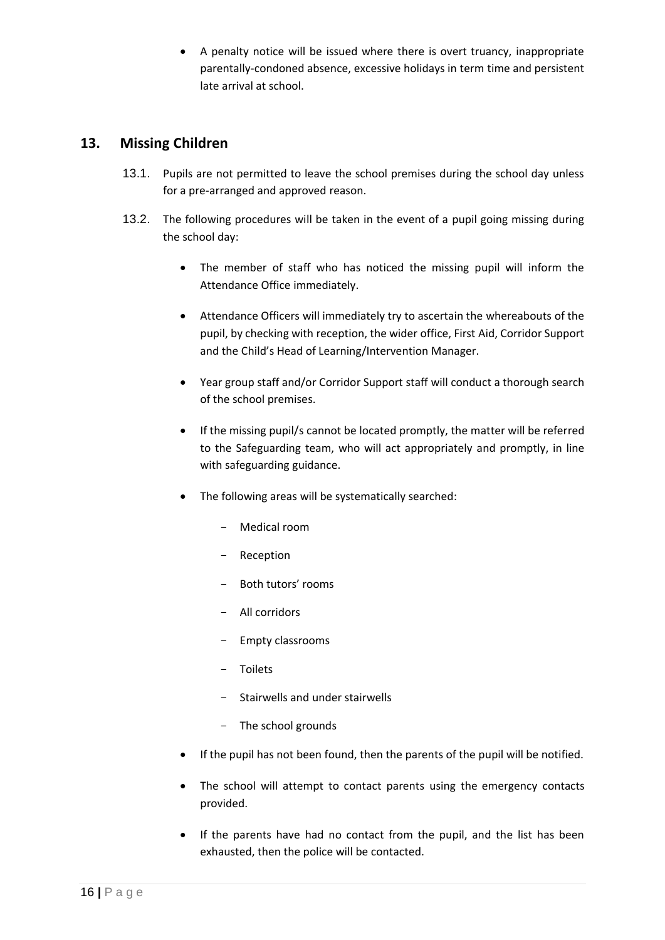• A penalty notice will be issued where there is overt truancy, inappropriate parentally-condoned absence, excessive holidays in term time and persistent late arrival at school.

## <span id="page-15-0"></span>**13. Missing Children**

- 13.1. Pupils are not permitted to leave the school premises during the school day unless for a pre-arranged and approved reason.
- 13.2. The following procedures will be taken in the event of a pupil going missing during the school day:
	- The member of staff who has noticed the missing pupil will inform the Attendance Office immediately.
	- Attendance Officers will immediately try to ascertain the whereabouts of the pupil, by checking with reception, the wider office, First Aid, Corridor Support and the Child's Head of Learning/Intervention Manager.
	- Year group staff and/or Corridor Support staff will conduct a thorough search of the school premises.
	- If the missing pupil/s cannot be located promptly, the matter will be referred to the Safeguarding team, who will act appropriately and promptly, in line with safeguarding guidance.
	- The following areas will be systematically searched:
		- Medical room
		- Reception
		- Both tutors' rooms
		- All corridors
		- Empty classrooms
		- Toilets
		- Stairwells and under stairwells
		- The school grounds
	- If the pupil has not been found, then the parents of the pupil will be notified.
	- The school will attempt to contact parents using the emergency contacts provided.
	- If the parents have had no contact from the pupil, and the list has been exhausted, then the police will be contacted.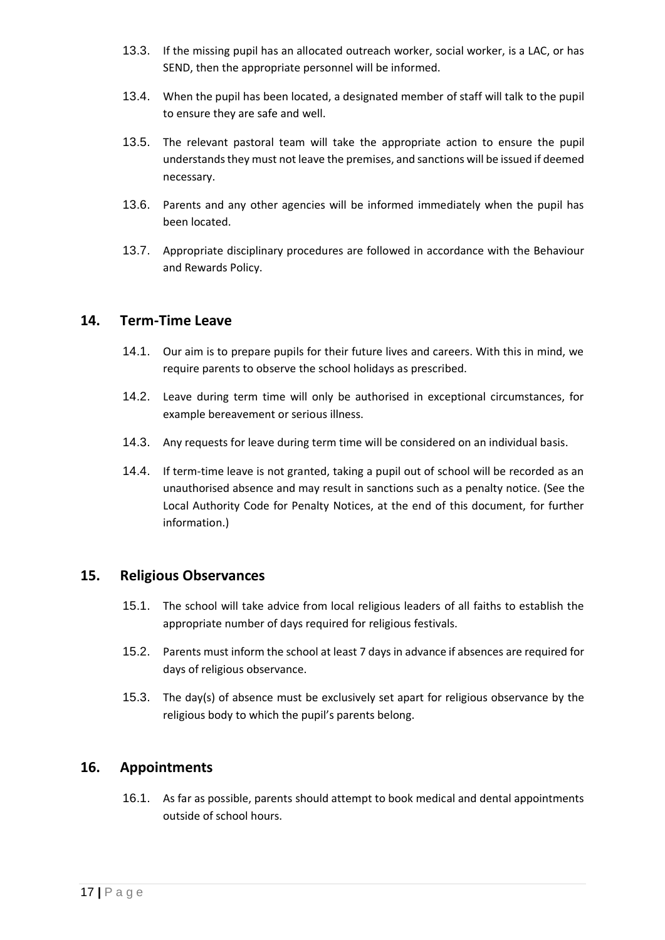- 13.3. If the missing pupil has an allocated outreach worker, social worker, is a LAC, or has SEND, then the appropriate personnel will be informed.
- 13.4. When the pupil has been located, a designated member of staff will talk to the pupil to ensure they are safe and well.
- 13.5. The relevant pastoral team will take the appropriate action to ensure the pupil understands they must not leave the premises, and sanctions will be issued if deemed necessary.
- 13.6. Parents and any other agencies will be informed immediately when the pupil has been located.
- 13.7. Appropriate disciplinary procedures are followed in accordance with the Behaviour and Rewards Policy.

#### <span id="page-16-0"></span>**14. Term-Time Leave**

- 14.1. Our aim is to prepare pupils for their future lives and careers. With this in mind, we require parents to observe the school holidays as prescribed.
- 14.2. Leave during term time will only be authorised in exceptional circumstances, for example bereavement or serious illness.
- 14.3. Any requests for leave during term time will be considered on an individual basis.
- 14.4. If term-time leave is not granted, taking a pupil out of school will be recorded as an unauthorised absence and may result in sanctions such as a penalty notice. (See the Local Authority Code for Penalty Notices, at the end of this document, for further information.)

#### <span id="page-16-1"></span>**15. Religious Observances**

- 15.1. The school will take advice from local religious leaders of all faiths to establish the appropriate number of days required for religious festivals.
- 15.2. Parents must inform the school at least 7 days in advance if absences are required for days of religious observance.
- 15.3. The day(s) of absence must be exclusively set apart for religious observance by the religious body to which the pupil's parents belong.

#### <span id="page-16-2"></span>**16. Appointments**

16.1. As far as possible, parents should attempt to book medical and dental appointments outside of school hours.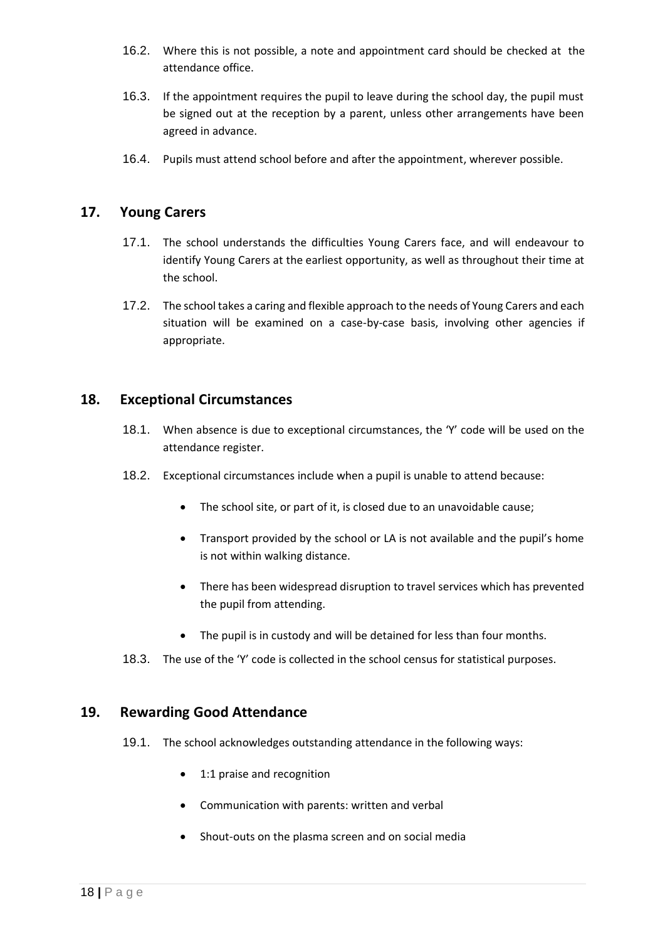- 16.2. Where this is not possible, a note and appointment card should be checked at the attendance office.
- 16.3. If the appointment requires the pupil to leave during the school day, the pupil must be signed out at the reception by a parent, unless other arrangements have been agreed in advance.
- 16.4. Pupils must attend school before and after the appointment, wherever possible.

## <span id="page-17-0"></span>**17. Young Carers**

- 17.1. The school understands the difficulties Young Carers face, and will endeavour to identify Young Carers at the earliest opportunity, as well as throughout their time at the school.
- 17.2. The school takes a caring and flexible approach to the needs of Young Carers and each situation will be examined on a case-by-case basis, involving other agencies if appropriate.

#### <span id="page-17-1"></span>**18. Exceptional Circumstances**

- 18.1. When absence is due to exceptional circumstances, the 'Y' code will be used on the attendance register.
- 18.2. Exceptional circumstances include when a pupil is unable to attend because:
	- The school site, or part of it, is closed due to an unavoidable cause;
	- Transport provided by the school or LA is not available and the pupil's home is not within walking distance.
	- There has been widespread disruption to travel services which has prevented the pupil from attending.
	- The pupil is in custody and will be detained for less than four months.
- 18.3. The use of the 'Y' code is collected in the school census for statistical purposes.

#### <span id="page-17-2"></span>**19. Rewarding Good Attendance**

- 19.1. The school acknowledges outstanding attendance in the following ways:
	- 1:1 praise and recognition
	- Communication with parents: written and verbal
	- Shout-outs on the plasma screen and on social media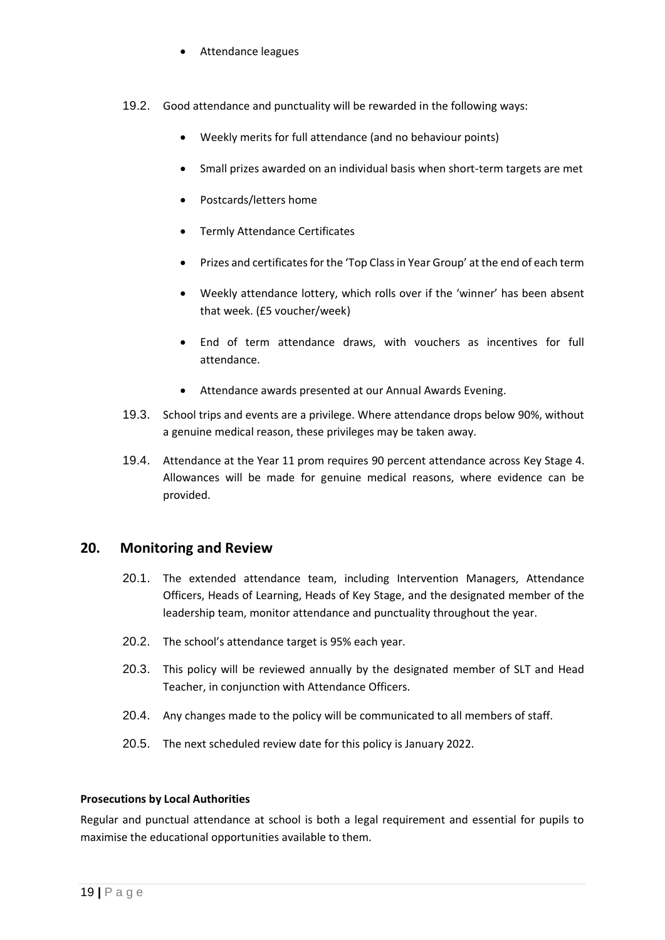- Attendance leagues
- 19.2. Good attendance and punctuality will be rewarded in the following ways:
	- Weekly merits for full attendance (and no behaviour points)
	- Small prizes awarded on an individual basis when short-term targets are met
	- Postcards/letters home
	- Termly Attendance Certificates
	- Prizes and certificates for the 'Top Class in Year Group' at the end of each term
	- Weekly attendance lottery, which rolls over if the 'winner' has been absent that week. (£5 voucher/week)
	- End of term attendance draws, with vouchers as incentives for full attendance.
	- Attendance awards presented at our Annual Awards Evening.
- 19.3. School trips and events are a privilege. Where attendance drops below 90%, without a genuine medical reason, these privileges may be taken away.
- 19.4. Attendance at the Year 11 prom requires 90 percent attendance across Key Stage 4. Allowances will be made for genuine medical reasons, where evidence can be provided.

#### <span id="page-18-0"></span>**20. Monitoring and Review**

- 20.1. The extended attendance team, including Intervention Managers, Attendance Officers, Heads of Learning, Heads of Key Stage, and the designated member of the leadership team, monitor attendance and punctuality throughout the year.
- 20.2. The school's attendance target is 95% each year.
- 20.3. This policy will be reviewed annually by the designated member of SLT and Head Teacher, in conjunction with Attendance Officers.
- 20.4. Any changes made to the policy will be communicated to all members of staff.
- 20.5. The next scheduled review date for this policy is January 2022.

#### **Prosecutions by Local Authorities**

Regular and punctual attendance at school is both a legal requirement and essential for pupils to maximise the educational opportunities available to them.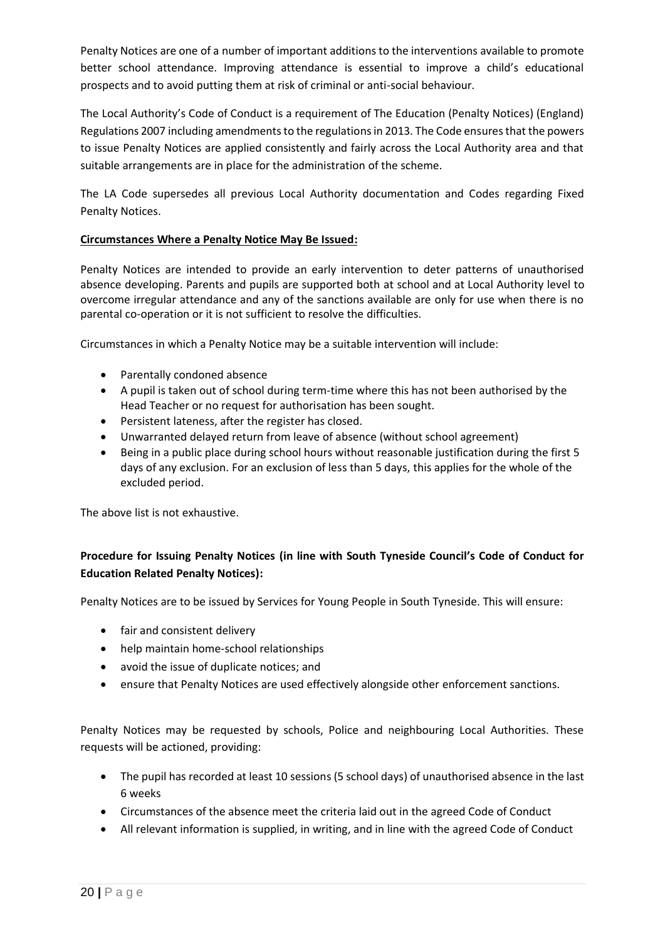Penalty Notices are one of a number of important additions to the interventions available to promote better school attendance. Improving attendance is essential to improve a child's educational prospects and to avoid putting them at risk of criminal or anti-social behaviour.

The Local Authority's Code of Conduct is a requirement of The Education (Penalty Notices) (England) Regulations 2007 including amendments to the regulations in 2013. The Code ensures that the powers to issue Penalty Notices are applied consistently and fairly across the Local Authority area and that suitable arrangements are in place for the administration of the scheme.

The LA Code supersedes all previous Local Authority documentation and Codes regarding Fixed Penalty Notices.

#### **Circumstances Where a Penalty Notice May Be Issued:**

Penalty Notices are intended to provide an early intervention to deter patterns of unauthorised absence developing. Parents and pupils are supported both at school and at Local Authority level to overcome irregular attendance and any of the sanctions available are only for use when there is no parental co-operation or it is not sufficient to resolve the difficulties.

Circumstances in which a Penalty Notice may be a suitable intervention will include:

- Parentally condoned absence
- A pupil is taken out of school during term-time where this has not been authorised by the Head Teacher or no request for authorisation has been sought.
- Persistent lateness, after the register has closed.
- Unwarranted delayed return from leave of absence (without school agreement)
- Being in a public place during school hours without reasonable justification during the first 5 days of any exclusion. For an exclusion of less than 5 days, this applies for the whole of the excluded period.

The above list is not exhaustive.

## **Procedure for Issuing Penalty Notices (in line with South Tyneside Council's Code of Conduct for Education Related Penalty Notices):**

Penalty Notices are to be issued by Services for Young People in South Tyneside. This will ensure:

- fair and consistent delivery
- help maintain home-school relationships
- avoid the issue of duplicate notices; and
- ensure that Penalty Notices are used effectively alongside other enforcement sanctions.

Penalty Notices may be requested by schools, Police and neighbouring Local Authorities. These requests will be actioned, providing:

- The pupil has recorded at least 10 sessions (5 school days) of unauthorised absence in the last 6 weeks
- Circumstances of the absence meet the criteria laid out in the agreed Code of Conduct
- All relevant information is supplied, in writing, and in line with the agreed Code of Conduct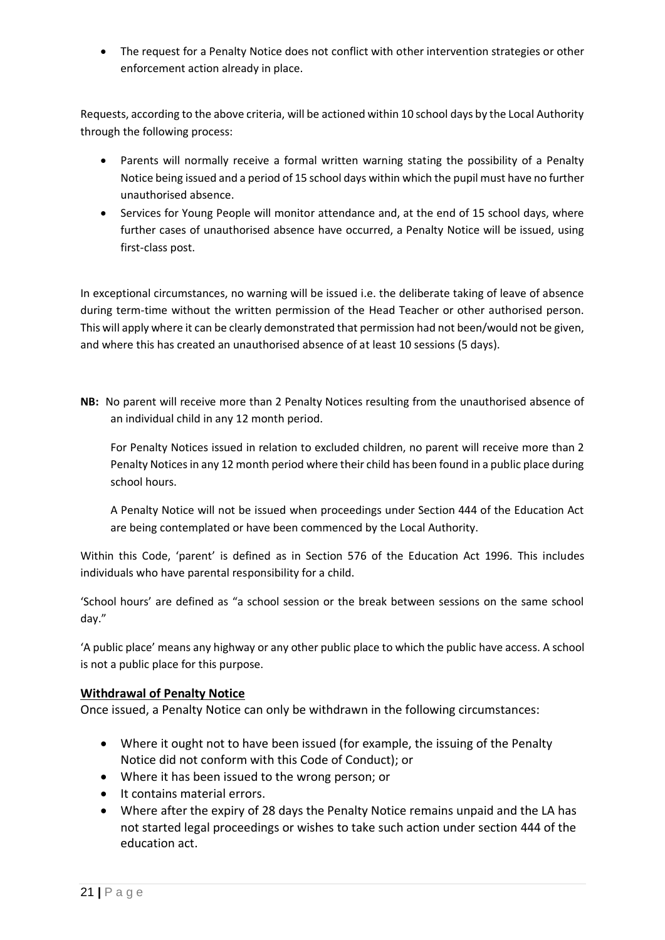• The request for a Penalty Notice does not conflict with other intervention strategies or other enforcement action already in place.

Requests, according to the above criteria, will be actioned within 10 school days by the Local Authority through the following process:

- Parents will normally receive a formal written warning stating the possibility of a Penalty Notice being issued and a period of 15 school days within which the pupil must have no further unauthorised absence.
- Services for Young People will monitor attendance and, at the end of 15 school days, where further cases of unauthorised absence have occurred, a Penalty Notice will be issued, using first-class post.

In exceptional circumstances, no warning will be issued i.e. the deliberate taking of leave of absence during term-time without the written permission of the Head Teacher or other authorised person. This will apply where it can be clearly demonstrated that permission had not been/would not be given, and where this has created an unauthorised absence of at least 10 sessions (5 days).

**NB:** No parent will receive more than 2 Penalty Notices resulting from the unauthorised absence of an individual child in any 12 month period.

For Penalty Notices issued in relation to excluded children, no parent will receive more than 2 Penalty Notices in any 12 month period where their child has been found in a public place during school hours.

A Penalty Notice will not be issued when proceedings under Section 444 of the Education Act are being contemplated or have been commenced by the Local Authority.

Within this Code, 'parent' is defined as in Section 576 of the Education Act 1996. This includes individuals who have parental responsibility for a child.

'School hours' are defined as "a school session or the break between sessions on the same school day."

'A public place' means any highway or any other public place to which the public have access. A school is not a public place for this purpose.

#### **Withdrawal of Penalty Notice**

Once issued, a Penalty Notice can only be withdrawn in the following circumstances:

- Where it ought not to have been issued (for example, the issuing of the Penalty Notice did not conform with this Code of Conduct); or
- Where it has been issued to the wrong person; or
- It contains material errors.
- Where after the expiry of 28 days the Penalty Notice remains unpaid and the LA has not started legal proceedings or wishes to take such action under section 444 of the education act.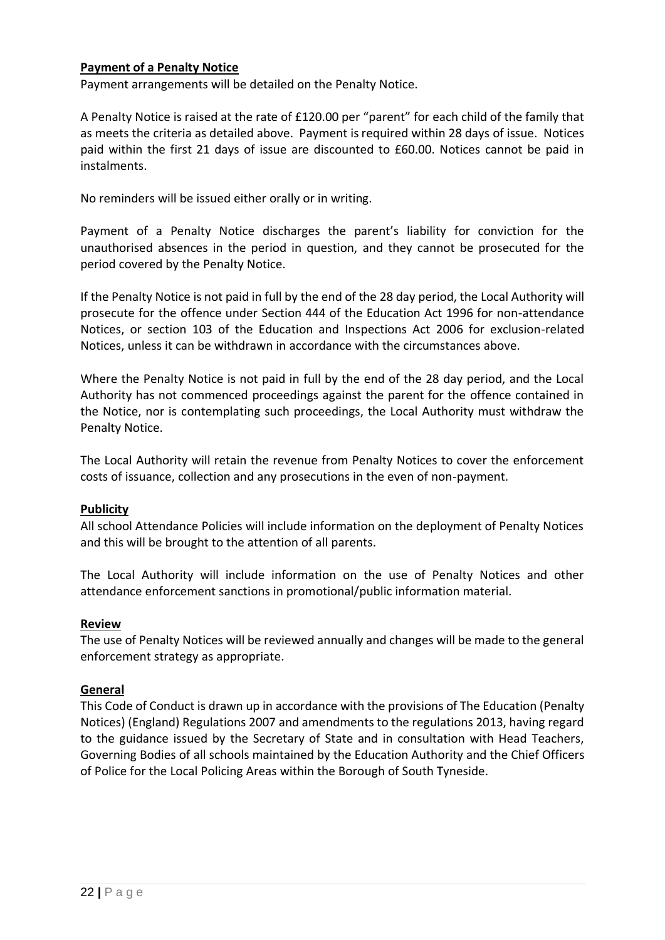#### **Payment of a Penalty Notice**

Payment arrangements will be detailed on the Penalty Notice.

A Penalty Notice is raised at the rate of £120.00 per "parent" for each child of the family that as meets the criteria as detailed above. Payment is required within 28 days of issue. Notices paid within the first 21 days of issue are discounted to £60.00. Notices cannot be paid in instalments.

No reminders will be issued either orally or in writing.

Payment of a Penalty Notice discharges the parent's liability for conviction for the unauthorised absences in the period in question, and they cannot be prosecuted for the period covered by the Penalty Notice.

If the Penalty Notice is not paid in full by the end of the 28 day period, the Local Authority will prosecute for the offence under Section 444 of the Education Act 1996 for non-attendance Notices, or section 103 of the Education and Inspections Act 2006 for exclusion-related Notices, unless it can be withdrawn in accordance with the circumstances above.

Where the Penalty Notice is not paid in full by the end of the 28 day period, and the Local Authority has not commenced proceedings against the parent for the offence contained in the Notice, nor is contemplating such proceedings, the Local Authority must withdraw the Penalty Notice.

The Local Authority will retain the revenue from Penalty Notices to cover the enforcement costs of issuance, collection and any prosecutions in the even of non-payment.

#### **Publicity**

All school Attendance Policies will include information on the deployment of Penalty Notices and this will be brought to the attention of all parents.

The Local Authority will include information on the use of Penalty Notices and other attendance enforcement sanctions in promotional/public information material.

#### **Review**

The use of Penalty Notices will be reviewed annually and changes will be made to the general enforcement strategy as appropriate.

#### **General**

<span id="page-21-0"></span>This Code of Conduct is drawn up in accordance with the provisions of The Education (Penalty Notices) (England) Regulations 2007 and amendments to the regulations 2013, having regard to the guidance issued by the Secretary of State and in consultation with Head Teachers, Governing Bodies of all schools maintained by the Education Authority and the Chief Officers of Police for the Local Policing Areas within the Borough of South Tyneside.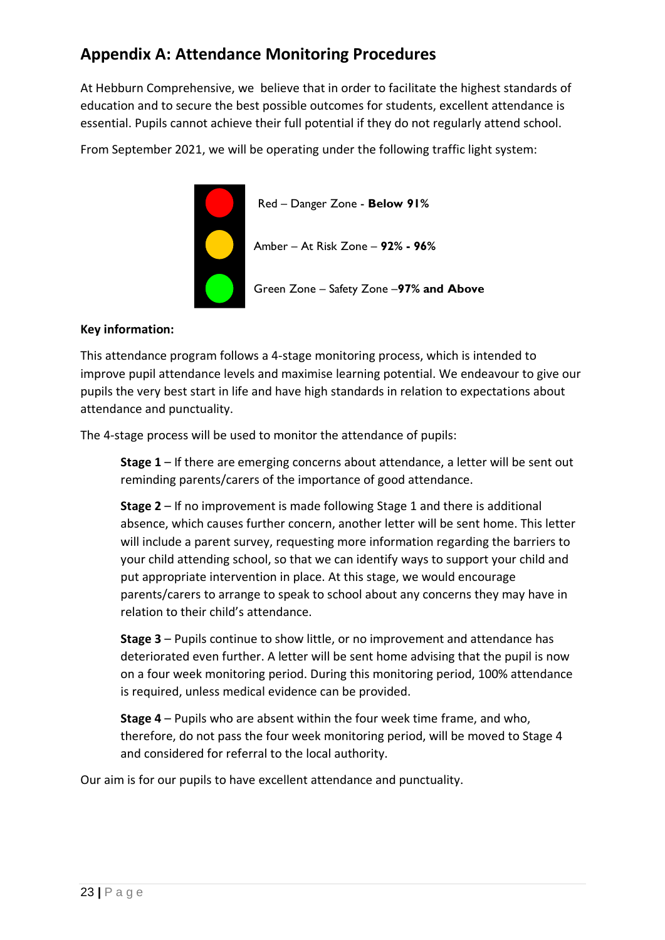# **Appendix A: Attendance Monitoring Procedures**

At Hebburn Comprehensive, we believe that in order to facilitate the highest standards of education and to secure the best possible outcomes for students, excellent attendance is essential. Pupils cannot achieve their full potential if they do not regularly attend school.

From September 2021, we will be operating under the following traffic light system:



#### **Key information:**

This attendance program follows a 4-stage monitoring process, which is intended to improve pupil attendance levels and maximise learning potential. We endeavour to give our pupils the very best start in life and have high standards in relation to expectations about attendance and punctuality.

The 4-stage process will be used to monitor the attendance of pupils:

**Stage 1** – If there are emerging concerns about attendance, a letter will be sent out reminding parents/carers of the importance of good attendance.

**Stage 2** – If no improvement is made following Stage 1 and there is additional absence, which causes further concern, another letter will be sent home. This letter will include a parent survey, requesting more information regarding the barriers to your child attending school, so that we can identify ways to support your child and put appropriate intervention in place. At this stage, we would encourage parents/carers to arrange to speak to school about any concerns they may have in relation to their child's attendance.

**Stage 3** – Pupils continue to show little, or no improvement and attendance has deteriorated even further. A letter will be sent home advising that the pupil is now on a four week monitoring period. During this monitoring period, 100% attendance is required, unless medical evidence can be provided.

**Stage 4** – Pupils who are absent within the four week time frame, and who, therefore, do not pass the four week monitoring period, will be moved to Stage 4 and considered for referral to the local authority.

Our aim is for our pupils to have excellent attendance and punctuality.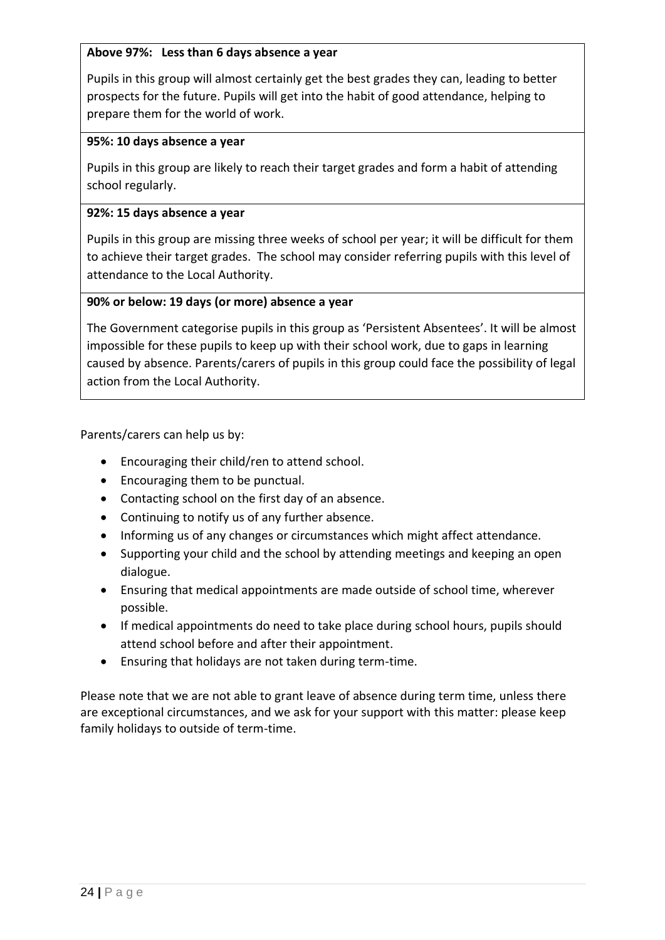#### **Above 97%: Less than 6 days absence a year**

Pupils in this group will almost certainly get the best grades they can, leading to better prospects for the future. Pupils will get into the habit of good attendance, helping to prepare them for the world of work.

#### **95%: 10 days absence a year**

Pupils in this group are likely to reach their target grades and form a habit of attending school regularly.

#### **92%: 15 days absence a year**

Pupils in this group are missing three weeks of school per year; it will be difficult for them to achieve their target grades. The school may consider referring pupils with this level of attendance to the Local Authority.

#### **90% or below: 19 days (or more) absence a year**

The Government categorise pupils in this group as 'Persistent Absentees'. It will be almost impossible for these pupils to keep up with their school work, due to gaps in learning caused by absence. Parents/carers of pupils in this group could face the possibility of legal action from the Local Authority.

Parents/carers can help us by:

- Encouraging their child/ren to attend school.
- Encouraging them to be punctual.
- Contacting school on the first day of an absence.
- Continuing to notify us of any further absence.
- Informing us of any changes or circumstances which might affect attendance.
- Supporting your child and the school by attending meetings and keeping an open dialogue.
- Ensuring that medical appointments are made outside of school time, wherever possible.
- If medical appointments do need to take place during school hours, pupils should attend school before and after their appointment.
- Ensuring that holidays are not taken during term-time.

Please note that we are not able to grant leave of absence during term time, unless there are exceptional circumstances, and we ask for your support with this matter: please keep family holidays to outside of term-time.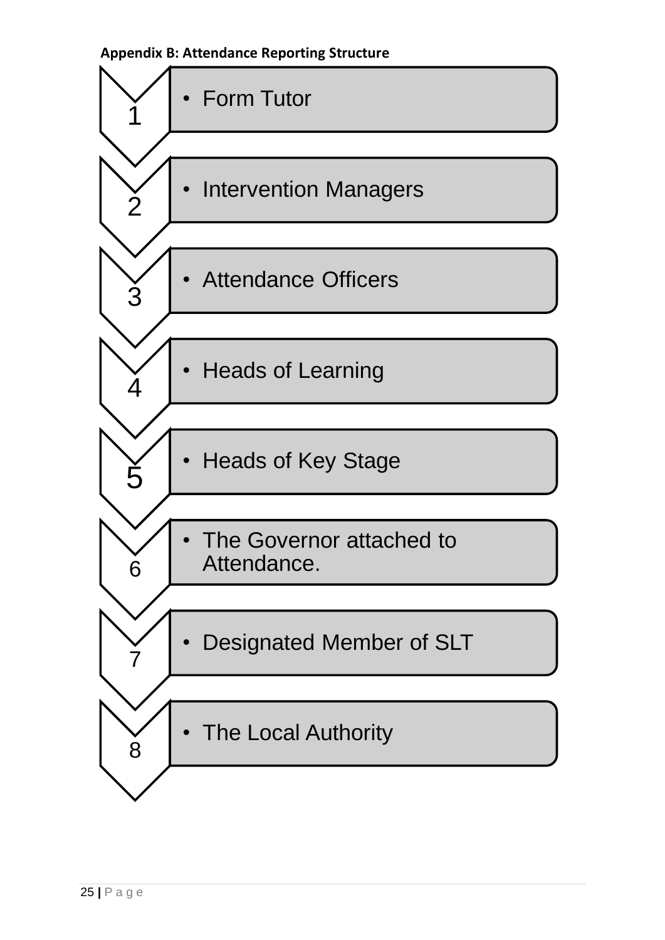<span id="page-24-0"></span>**Appendix B: Attendance Reporting Structure**

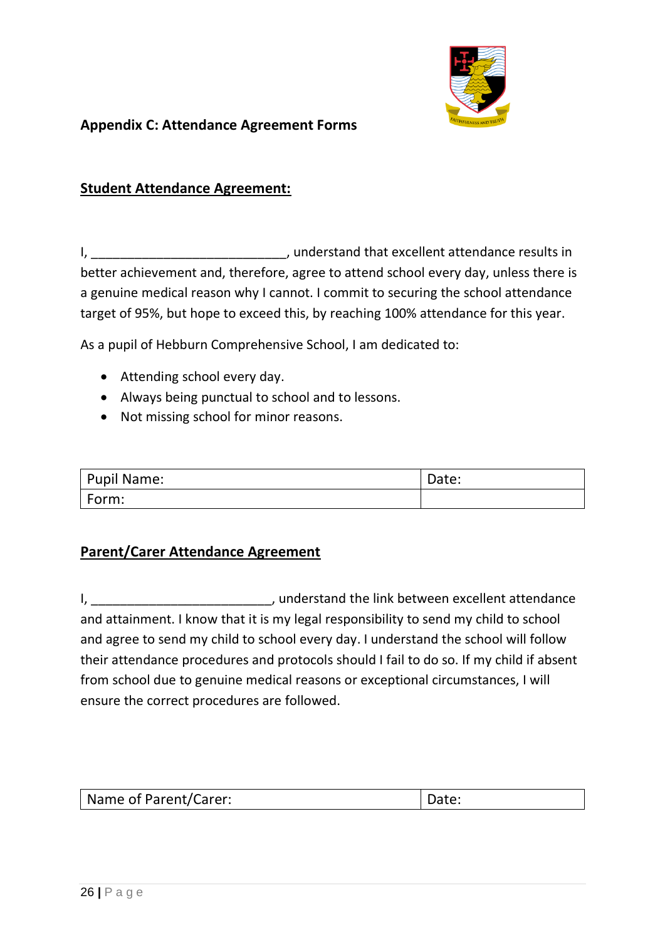

## <span id="page-25-0"></span>**Appendix C: Attendance Agreement Forms**

## **Student Attendance Agreement:**

I, \_\_\_\_\_\_\_\_\_\_\_\_\_\_\_\_\_\_\_\_\_\_\_\_\_\_\_\_\_\_\_\_\_, understand that excellent attendance results in better achievement and, therefore, agree to attend school every day, unless there is a genuine medical reason why I cannot. I commit to securing the school attendance target of 95%, but hope to exceed this, by reaching 100% attendance for this year.

As a pupil of Hebburn Comprehensive School, I am dedicated to:

- Attending school every day.
- Always being punctual to school and to lessons.
- Not missing school for minor reasons.

| Pupil Name: | Date: |
|-------------|-------|
| Form:       |       |

## **Parent/Carer Attendance Agreement**

I, the contract of the link between excellent attendance and attainment. I know that it is my legal responsibility to send my child to school and agree to send my child to school every day. I understand the school will follow their attendance procedures and protocols should I fail to do so. If my child if absent from school due to genuine medical reasons or exceptional circumstances, I will ensure the correct procedures are followed.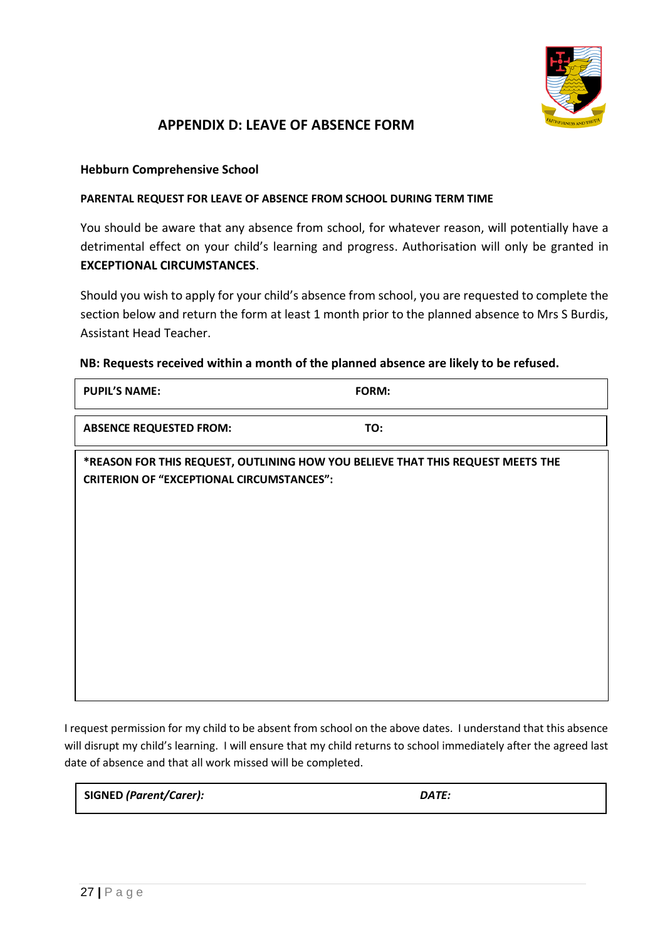

## **APPENDIX D: LEAVE OF ABSENCE FORM**

#### **Hebburn Comprehensive School**

#### **PARENTAL REQUEST FOR LEAVE OF ABSENCE FROM SCHOOL DURING TERM TIME**

You should be aware that any absence from school, for whatever reason, will potentially have a detrimental effect on your child's learning and progress. Authorisation will only be granted in **EXCEPTIONAL CIRCUMSTANCES**.

Should you wish to apply for your child's absence from school, you are requested to complete the section below and return the form at least 1 month prior to the planned absence to Mrs S Burdis, Assistant Head Teacher.

#### **NB: Requests received within a month of the planned absence are likely to be refused.**

| <b>PUPIL'S NAME:</b>                                                                                                                | FORM: |
|-------------------------------------------------------------------------------------------------------------------------------------|-------|
| <b>ABSENCE REQUESTED FROM:</b>                                                                                                      | TO:   |
| *REASON FOR THIS REQUEST, OUTLINING HOW YOU BELIEVE THAT THIS REQUEST MEETS THE<br><b>CRITERION OF "EXCEPTIONAL CIRCUMSTANCES":</b> |       |
|                                                                                                                                     |       |

I request permission for my child to be absent from school on the above dates. I understand that this absence will disrupt my child's learning. I will ensure that my child returns to school immediately after the agreed last date of absence and that all work missed will be completed.

**SIGNED** *(Parent/Carer): DATE:*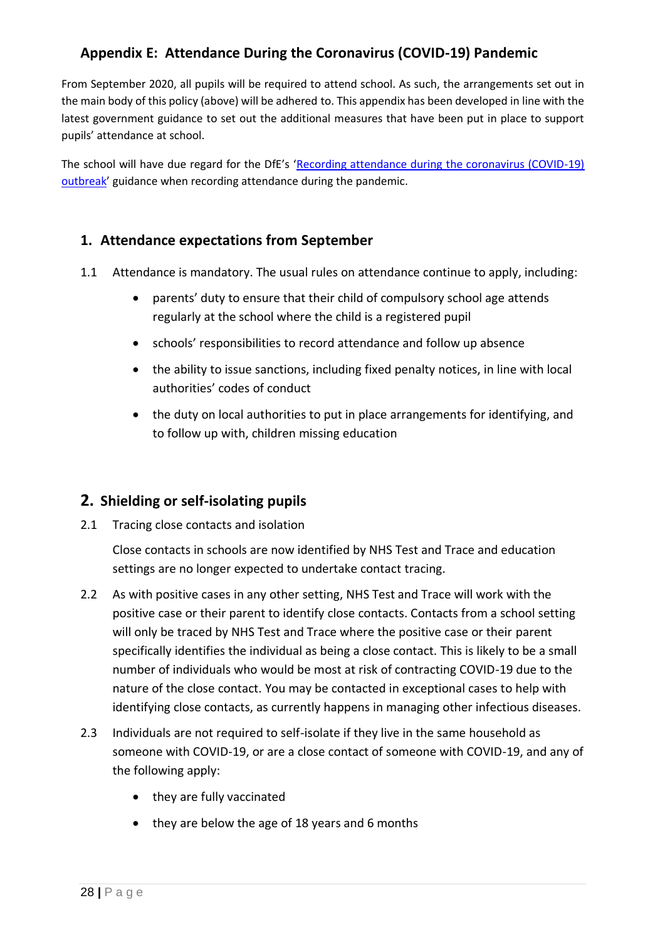## <span id="page-27-0"></span>**Appendix E: Attendance During the Coronavirus (COVID-19) Pandemic**

From September 2020, all pupils will be required to attend school. As such, the arrangements set out in the main body of this policy (above) will be adhered to. This appendix has been developed in line with the latest government guidance to set out the additional measures that have been put in place to support pupils' attendance at school.

The school will have due regard for the DfE's 'Recording attendance during the coronavirus (COVID-19) [outbreak](https://www.gov.uk/government/publications/coronavirus-covid-19-attendance-recording-for-educational-settings)' guidance when recording attendance during the pandemic.

## **1. Attendance expectations from September**

- 1.1 Attendance is mandatory. The usual rules on attendance continue to apply, including:
	- parents' duty to ensure that their child of compulsory school age attends regularly at the school where the child is a registered pupil
	- schools' responsibilities to record attendance and follow up absence
	- the ability to issue sanctions, including fixed penalty notices, in line with local authorities' codes of conduct
	- the duty on local authorities to put in place arrangements for identifying, and to follow up with, children missing education

## **2. Shielding or self-isolating pupils**

2.1 Tracing close contacts and isolation

Close contacts in schools are now identified by NHS Test and Trace and education settings are no longer expected to undertake contact tracing.

- 2.2 As with positive cases in any other setting, NHS Test and Trace will work with the positive case or their parent to identify close contacts. Contacts from a school setting will only be traced by NHS Test and Trace where the positive case or their parent specifically identifies the individual as being a close contact. This is likely to be a small number of individuals who would be most at risk of contracting COVID-19 due to the nature of the close contact. You may be contacted in exceptional cases to help with identifying close contacts, as currently happens in managing other infectious diseases.
- 2.3 Individuals are not required to self-isolate if they live in the same household as someone with COVID-19, or are a close contact of someone with COVID-19, and any of the following apply:
	- they are fully vaccinated
	- they are below the age of 18 years and 6 months